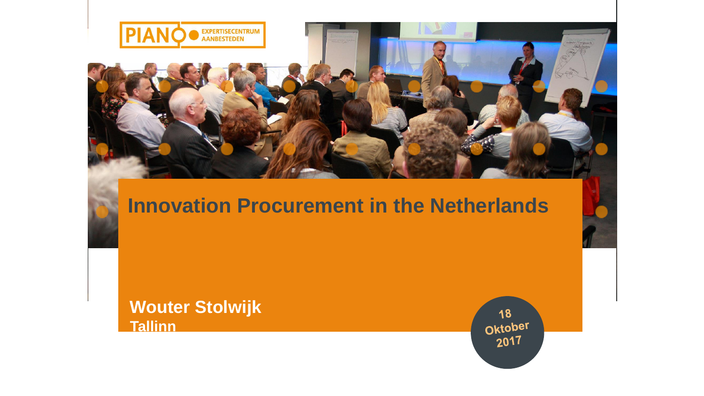

### **Innovation Procurement in the Netherlands**

#### **Wouter Stolwijk Tallinn**

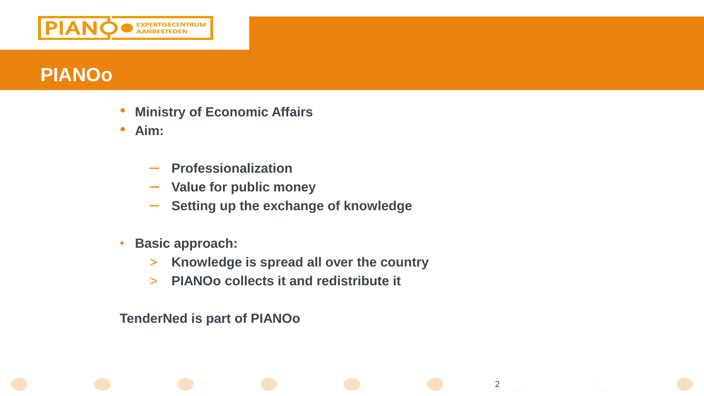

#### **PIANOo**

- **Ministry of Economic Affairs**
- **Aim:**
	- **Professionalization**
	- **Value for public money**
	- **Setting up the exchange of knowledge**
- **Basic approach:**
	- > **Knowledge is spread all over the country**

2

> **PIANOo collects it and redistribute it**

**TenderNed is part of PIANOo**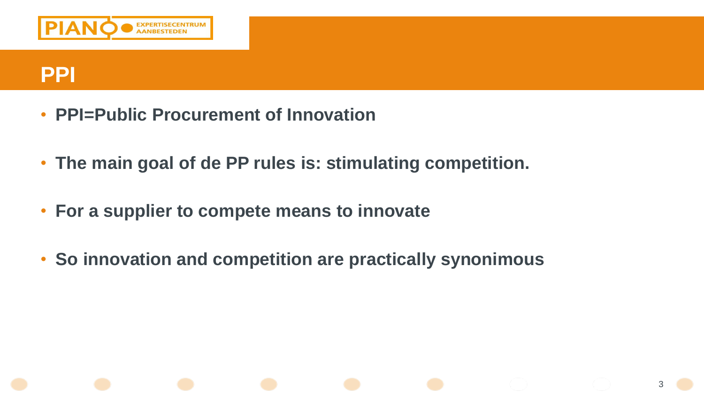

## **PPI**

- **PPI=Public Procurement of Innovation**
- **The main goal of de PP rules is: stimulating competition.**
- **For a supplier to compete means to innovate**
- **So innovation and competition are practically synonimous**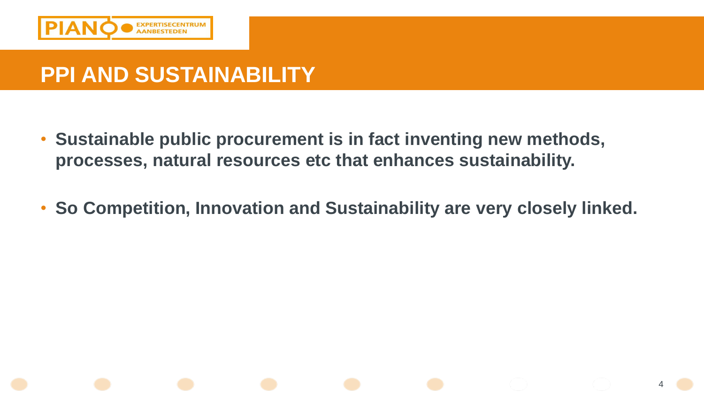

## **PPI AND SUSTAINABILITY**

- **Sustainable public procurement is in fact inventing new methods, processes, natural resources etc that enhances sustainability.**
- **So Competition, Innovation and Sustainability are very closely linked.**

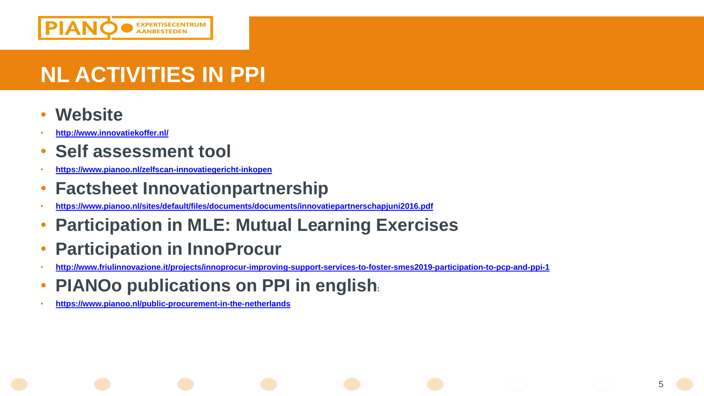

# **NL ACTIVITIES IN PPI**

- **Website**
- **<http://www.innovatiekoffer.nl/>**
- **Self assessment tool**
- **<https://www.pianoo.nl/zelfscan-innovatiegericht-inkopen>**
- **Factsheet Innovationpartnership**
- **<https://www.pianoo.nl/sites/default/files/documents/documents/innovatiepartnerschapjuni2016.pdf>**
- **Participation in MLE: Mutual Learning Exercises**
- **Participation in InnoProcur**
- **<http://www.friulinnovazione.it/projects/innoprocur-improving-support-services-to-foster-smes2019-participation-to-pcp-and-ppi-1>**
- **PIANOo publications on PPI in english:**
- **<https://www.pianoo.nl/public-procurement-in-the-netherlands>**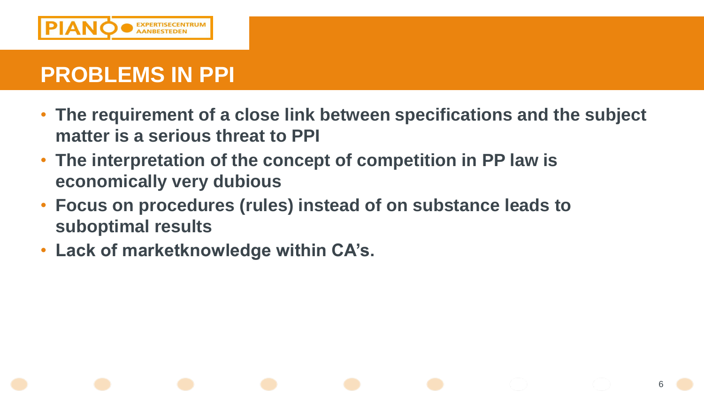

# **PROBLEMS IN PPI**

- **The requirement of a close link between specifications and the subject matter is a serious threat to PPI**
- **The interpretation of the concept of competition in PP law is economically very dubious**
- **Focus on procedures (rules) instead of on substance leads to suboptimal results**
- **Lack of marketknowledge within CA's.**